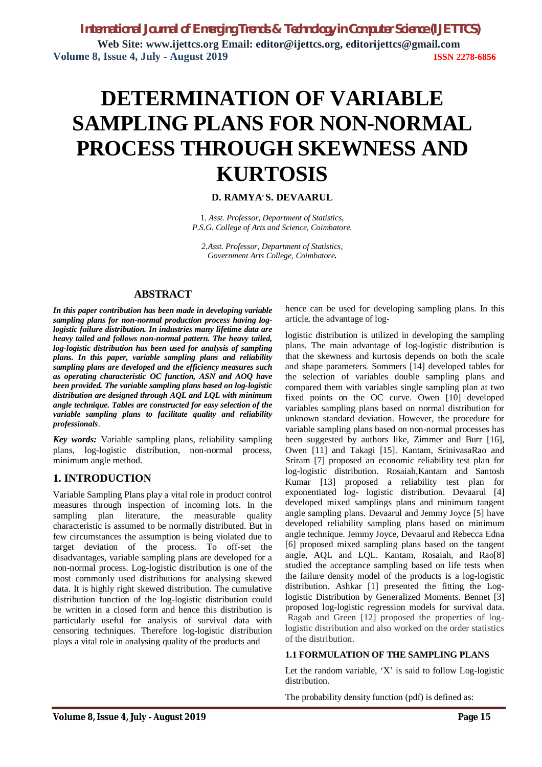*International Journal of Emerging Trends & Technology in Computer Science (IJETTCS)* **Web Site: www.ijettcs.org Email: editor@ijettcs.org, [editorijettcs@gmail.com](mailto:editorijettcs@gmail.com)  Volume 8, Issue 4, July - August 2019 ISSN 2278-6856**

# **DETERMINATION OF VARIABLE SAMPLING PLANS FOR NON-NORMAL PROCESS THROUGH SKEWNESS AND KURTOSIS**

## **D. RAMYA, S. DEVAARUL**

1*. Asst. Professor, Department of Statistics, P.S.G. College of Arts and Science, Coimbatore.*

*2.Asst. Professor, Department of Statistics, Government Arts College, Coimbatore.*

## **ABSTRACT**

*In this paper contribution has been made in developing variable sampling plans for non-normal production process having loglogistic failure distribution. In industries many lifetime data are heavy tailed and follows non-normal pattern. The heavy tailed, log-logistic distribution has been used for analysis of sampling plans. In this paper, variable sampling plans and reliability sampling plans are developed and the efficiency measures such as operating characteristic OC function, ASN and AOQ have been provided. The variable sampling plans based on log-logistic distribution are designed through AQL and LQL with minimum angle technique. Tables are constructed for easy selection of the variable sampling plans to facilitate quality and reliability professionals*.

*Key words:* Variable sampling plans, reliability sampling plans, log-logistic distribution, non-normal process, minimum angle method.

## **1. INTRODUCTION**

Variable Sampling Plans play a vital role in product control measures through inspection of incoming lots. In the sampling plan literature, the measurable quality characteristic is assumed to be normally distributed. But in few circumstances the assumption is being violated due to target deviation of the process. To off-set the disadvantages, variable sampling plans are developed for a non-normal process. Log-logistic distribution is one of the most commonly used distributions for analysing skewed data. It is highly right skewed distribution. The cumulative distribution function of the log-logistic distribution could be written in a closed form and hence this distribution is particularly useful for analysis of survival data with censoring techniques. Therefore log-logistic distribution plays a vital role in analysing quality of the products and

hence can be used for developing sampling plans. In this article, the advantage of log-

logistic distribution is utilized in developing the sampling plans. The main advantage of log-logistic distribution is that the skewness and kurtosis depends on both the scale and shape parameters. Sommers [14] developed tables for the selection of variables double sampling plans and compared them with variables single sampling plan at two fixed points on the OC curve. Owen [10] developed variables sampling plans based on normal distribution for unknown standard deviation. However, the procedure for variable sampling plans based on non-normal processes has been suggested by authors like, Zimmer and Burr [16], Owen [11] and Takagi [15]. Kantam, SrinivasaRao and Sriram [7] proposed an economic reliability test plan for log-logistic distribution. Rosaiah,Kantam and Santosh Kumar [13] proposed a reliability test plan for exponentiated log- logistic distribution. Devaarul [4] developed mixed samplings plans and minimum tangent angle sampling plans. Devaarul and Jemmy Joyce [5] have developed reliability sampling plans based on minimum angle technique. Jemmy Joyce, Devaarul and Rebecca Edna [6] proposed mixed sampling plans based on the tangent angle, AQL and LQL. Kantam, Rosaiah, and Rao[8] studied the acceptance sampling based on life tests when the failure density model of the products is a log-logistic distribution. Ashkar [1] presented the fitting the Loglogistic Distribution by Generalized Moments. Bennet [3] proposed log-logistic regression models for survival data. Ragab and Green [12] proposed the properties of loglogistic distribution and also worked on the order statistics of the distribution.

### **1.1 FORMULATION OF THE SAMPLING PLANS**

Let the random variable, 'X' is said to follow Log-logistic distribution.

The probability density function (pdf) is defined as: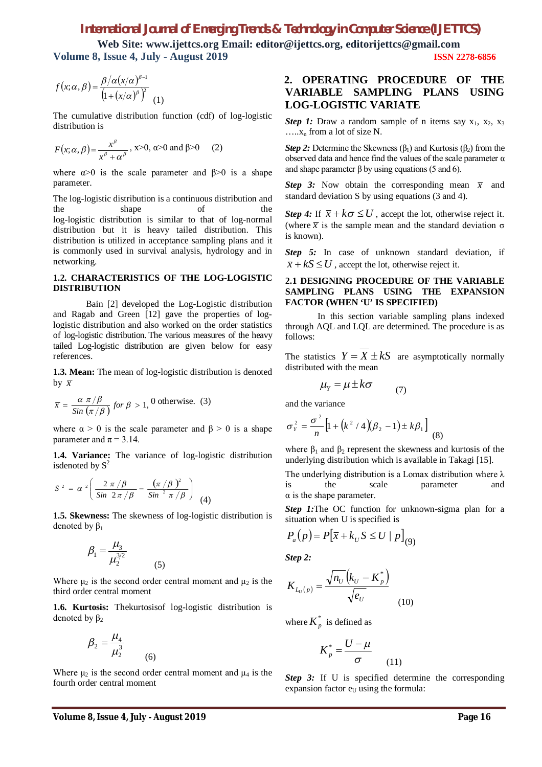**Web Site: www.ijettcs.org Email: editor@ijettcs.org, [editorijettcs@gmail.com](mailto:editorijettcs@gmail.com)  Volume 8, Issue 4, July - August 2019 ISSN 2278-6856**

$$
f(x; \alpha, \beta) = \frac{\beta/\alpha (x/\alpha)^{\beta-1}}{\left(1 + (x/\alpha)^{\beta}\right)^2}
$$
 (1)

The cumulative distribution function (cdf) of log-logistic distribution is

$$
F(x; \alpha, \beta) = \frac{x^{\beta}}{x^{\beta} + \alpha^{\beta}}, \quad x > 0, \quad \alpha > 0 \text{ and } \beta > 0 \quad (2)
$$

where  $\alpha > 0$  is the scale parameter and  $\beta > 0$  is a shape parameter.

The log-logistic distribution is a continuous distribution and the shape of the log-logistic distribution is similar to that of log-normal distribution but it is heavy tailed distribution. This distribution is utilized in acceptance sampling plans and it is commonly used in survival analysis, hydrology and in networking.

#### **1.2. CHARACTERISTICS OF THE LOG-LOGISTIC DISTRIBUTION**

Bain [2] developed the Log-Logistic distribution and Ragab and Green [12] gave the properties of loglogistic distribution and also worked on the order statistics of log-logistic distribution. The various measures of the heavy tailed Log-logistic distribution are given below for easy references.

1.3. Mean: The mean of log-logistic distribution is denoted by  $\overline{x}$ 

$$
\bar{x} = \frac{\alpha \pi/\beta}{\sin(\pi/\beta)} \text{ for } \beta > 1, 0 \text{ otherwise. (3)}
$$

where  $\alpha > 0$  is the scale parameter and  $\beta > 0$  is a shape parameter and  $\pi$  = 3.14.

**1.4. Variance:** The variance of log-logistic distribution isdenoted by  $S^2$ 

$$
S^{2} = \alpha^{2} \left( \frac{2 \pi / \beta}{\sin 2 \pi / \beta} - \frac{(\pi / \beta)^{2}}{\sin^{2} \pi / \beta} \right)
$$
 (4)

**1.5. Skewness:** The skewness of log-logistic distribution is denoted by  $\beta_1$ 

$$
\beta_1=\frac{\mu_3}{\mu_2^{3/2}}
$$

Where  $\mu_2$  is the second order central moment and  $\mu_2$  is the third order central moment

(5)

**1.6. Kurtosis:** Thekurtosisof log-logistic distribution is denoted by  $β_2$ 

$$
\beta_2 = \frac{\mu_4}{\mu_2^3}
$$

Where  $\mu_2$  is the second order central moment and  $\mu_4$  is the fourth order central moment

(6)

## **2. OPERATING PROCEDURE OF THE VARIABLE SAMPLING PLANS USING LOG-LOGISTIC VARIATE**

*Step 1:* Draw a random sample of n items say  $x_1$ ,  $x_2$ ,  $x_3$  $...,x_n$  from a lot of size N.

*Step 2:* Determine the Skewness  $(\beta_1)$  and Kurtosis  $(\beta_2)$  from the observed data and hence find the values of the scale parameter  $\alpha$ and shape parameter  $\beta$  by using equations (5 and 6).

*Step 3:* Now obtain the corresponding mean  $\overline{x}$  and standard deviation S by using equations (3 and 4).

*Step 4:* If  $\bar{x} + k\sigma \leq U$ , accept the lot, otherwise reject it. (where  $\bar{x}$  is the sample mean and the standard deviation  $\sigma$ is known).

*Step 5:* In case of unknown standard deviation, if  $\overline{x}$  +  $kS \le U$ , accept the lot, otherwise reject it.

#### **2.1 DESIGNING PROCEDURE OF THE VARIABLE SAMPLING PLANS USING THE EXPANSION FACTOR (WHEN 'U' IS SPECIFIED)**

In this section variable sampling plans indexed through AQL and LQL are determined. The procedure is as follows:

The statistics  $Y = X \pm kS$  are asymptotically normally distributed with the mean

$$
\mu_{Y} = \mu \pm k\sigma \tag{7}
$$

and the variance

$$
\sigma_Y^2 = \frac{\sigma^2}{n} \left[ 1 + \left( k^2 / 4 \right) \left( \beta_2 - 1 \right) \pm k \beta_1 \right] \tag{8}
$$

where  $\beta_1$  and  $\beta_2$  represent the skewness and kurtosis of the underlying distribution which is available in Takagi [15].

The underlying distribution is a Lomax distribution where  $\lambda$ is the scale parameter and  $\alpha$  is the shape parameter.

*Step 1:***The OC** function for unknown-sigma plan for a situation when U is specified is

$$
P_a(p) = P[\overline{x} + k_U S \le U \mid p]_{(9)}
$$

*Step 2:*

$$
K_{L_U(p)} = \frac{\sqrt{n_U} (k_U - K_p^*)}{\sqrt{e_U}}
$$
 (10)

where  $K_p^*$  is defined as

$$
K_p^* = \frac{U - \mu}{\sigma} \tag{11}
$$

*Step 3:* If U is specified determine the corresponding expansion factor  $e_U$  using the formula: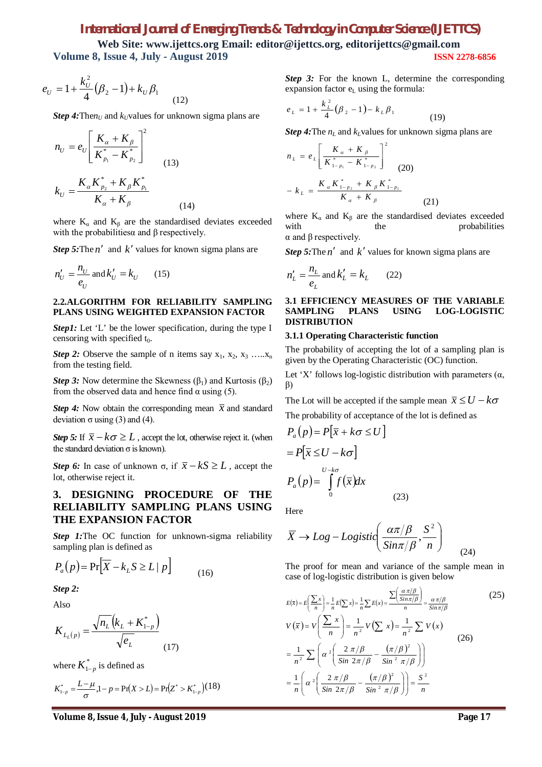**Web Site: www.ijettcs.org Email: editor@ijettcs.org, [editorijettcs@gmail.com](mailto:editorijettcs@gmail.com)  Volume 8, Issue 4, July - August 2019 ISSN 2278-6856**

$$
e_U = 1 + \frac{k_U^2}{4} (\beta_2 - 1) + k_U \beta_1
$$
\n(12)

*Step 4:* The $n_U$  and  $k_U$ values for unknown sigma plans are

$$
n_{U} = e_{U} \left[ \frac{K_{\alpha} + K_{\beta}}{K_{p_{1}}^{*} - K_{p_{2}}^{*}} \right]^{2}
$$
  

$$
k_{U} = \frac{K_{\alpha} K_{p_{2}}^{*} + K_{\beta} K_{p_{1}}^{*}}{K_{\alpha} + K_{\beta}}
$$
 (14)

where  $K_{\alpha}$  and  $K_{\beta}$  are the standardised deviates exceeded with the probabilities a and  $\beta$  respectively.

*Step 5:* The  $n'$  and  $k'$  values for known sigma plans are

$$
n'_U = \frac{n_U}{e_U} \text{ and } k'_U = k_U \qquad (15)
$$

#### **2.2.ALGORITHM FOR RELIABILITY SAMPLING PLANS USING WEIGHTED EXPANSION FACTOR**

*Step1*: Let 'L' be the lower specification, during the type I censoring with specified  $t_0$ .

*Step 2:* Observe the sample of n items say  $x_1, x_2, x_3, \ldots, x_n$ from the testing field.

*Step 3:* Now determine the Skewness  $(\beta_1)$  and Kurtosis  $(\beta_2)$ from the observed data and hence find  $\alpha$  using (5).

*Step 4:* Now obtain the corresponding mean  $\bar{x}$  and standard deviation  $\sigma$  using (3) and (4).

*Step 5:* If  $\bar{x} - k\sigma \geq L$ , accept the lot, otherwise reject it. (when the standard deviation  $\sigma$  is known).

*Step 6:* In case of unknown σ, if  $\bar{x} - kS \ge L$ , accept the lot, otherwise reject it.

## **3. DESIGNING PROCEDURE OF THE RELIABILITY SAMPLING PLANS USING THE EXPANSION FACTOR**

*Step 1:***The OC** function for unknown-sigma reliability sampling plan is defined as

$$
P_a(p) = \Pr[\overline{X} - k_L S \ge L \mid p] \tag{16}
$$

*Step 2:*

Also

$$
K_{L_L(p)} = \frac{\sqrt{n_L} (k_L + K_{1-p}^*)}{\sqrt{e_L}}
$$
(17)

where  $K^*_{1-p}$  is defined as

$$
K_{1-p}^* = \frac{L-\mu}{\sigma}, 1-p = \Pr(X > L) = \Pr(Z^* > K_{1-p}^*) (18)
$$

*Step 3:* For the known L, determine the corresponding expansion factor  $e<sub>L</sub>$  using the formula:

$$
e_{L} = 1 + \frac{k_{L}^{2}}{4} (\beta_{2} - 1) - k_{L} \beta_{1}
$$
 (19)

*Step 4:*The *n<sup>L</sup>* and *kL*values for unknown sigma plans are

$$
n_{L} = e_{L} \left[ \frac{K_{\alpha} + K_{\beta}}{K_{1-p_{1}}^{*} - K_{1-p_{2}}^{*}} \right]^{2}
$$
  
-  $k_{L} = \frac{K_{\alpha} K_{1-p_{2}}^{*} + K_{\beta} K_{1-p_{1}}^{*}}{K_{\alpha} + K_{\beta}}$  (21)

where  $K_a$  and  $K_b$  are the standardised deviates exceeded with the probabilities α and β respectively.

*Step 5:* The  $n'$  and  $k'$  values for known sigma plans are

$$
n'_{L} = \frac{n_{L}}{e_{L}} \text{ and } k'_{L} = k_{L} \qquad (22)
$$

#### **3.1 EFFICIENCY MEASURES OF THE VARIABLE SAMPLING PLANS USING LOG-LOGISTIC DISTRIBUTION**

#### **3.1.1 Operating Characteristic function**

The probability of accepting the lot of a sampling plan is given by the Operating Characteristic (OC) function.

Let 'X' follows log-logistic distribution with parameters  $(\alpha, \beta)$ β)

The Lot will be accepted if the sample mean  $\bar{x} \leq U - k\sigma$ The probability of acceptance of the lot is defined as

$$
P_a(p) = P[\overline{x} + k\sigma \le U]
$$
  
=  $P[\overline{x} \le U - k\sigma]$   

$$
P_a(p) = \int_0^{U - k\sigma} f(\overline{x}) dx
$$
 (23)

Here

$$
\overline{X} \to Log - Logistic\left(\frac{\alpha \pi/\beta}{\sin \pi/\beta}, \frac{S^2}{n}\right) (24)
$$

The proof for mean and variance of the sample mean in case of log-logistic distribution is given below

$$
E(\bar{x}) = E\left(\frac{\sum x}{n}\right) = \frac{1}{n}E(\sum x) = \frac{1}{n}\sum E(x) = \frac{\sum \left(\frac{\alpha \pi}{\beta}\right)}{n} = \frac{\alpha \pi}{\beta} \frac{\pi}{\beta}
$$
(25)  

$$
V(\bar{x}) = V\left(\frac{\sum x}{n}\right) = \frac{1}{n^2}V\left(\sum x\right) = \frac{1}{n^2}\sum V(x)
$$

$$
= \frac{1}{n^2}\sum \left(\alpha^2 \left(\frac{2 \pi}{\beta} - \frac{\pi}{\beta}\right)^2\right)
$$

$$
= \frac{1}{n}\left(\alpha^2 \left(\frac{2 \pi}{\beta} - \frac{\pi}{\beta}\right)^2\right)
$$

$$
= \frac{1}{n}\left(\alpha^2 \left(\frac{2 \pi}{\beta} - \frac{\pi}{\beta}\right)^2\right) = \frac{S^2}{n}
$$

**Volume 8, Issue 4, July - August 2019 Page 17**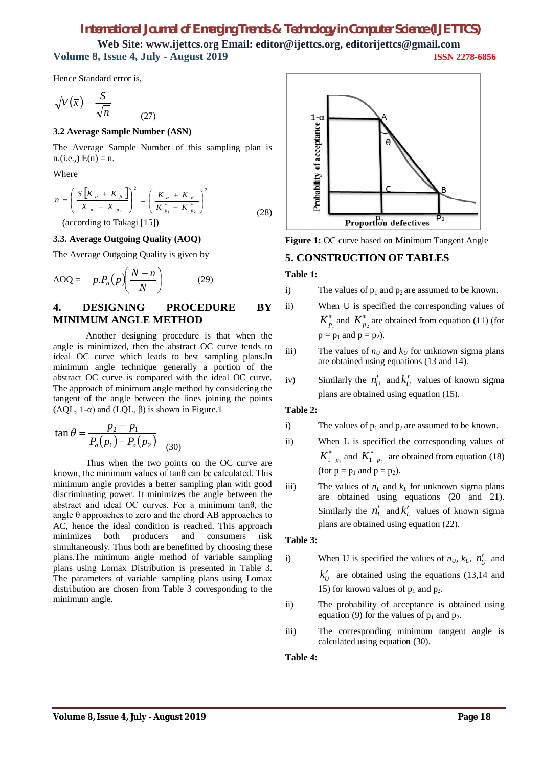**Web Site: www.ijettcs.org Email: editor@ijettcs.org, [editorijettcs@gmail.com](mailto:editorijettcs@gmail.com)  Volume 8, Issue 4, July - August 2019 ISSN 2278-6856**

Hence Standard error is,

$$
\sqrt{V(\overline{x})} = \frac{S}{\sqrt{n}}
$$

#### **3.2 Average Sample Number (ASN)**

The Average Sample Number of this sampling plan is  $n.(i.e.,) E(n) = n.$ 

(27)

Where

$$
n = \left(\frac{S\left[K_{\alpha} + K_{\beta}\right]}{X_{p_1} - X_{p_2}}\right)^2 = \left(\frac{K_{\alpha} + K_{\beta}}{K_{p_1}^* - K_{p_2}^*}\right)^2
$$
\n(28)

(according to Takagi [15])

#### **3.3. Average Outgoing Quality (AOQ)**

The Average Outgoing Quality is given by

$$
AOQ = p.P_a(p)\left(\frac{N-n}{N}\right) \tag{29}
$$

## **4. DESIGNING PROCEDURE BY MINIMUM ANGLE METHOD**

Another designing procedure is that when the angle is minimized, then the abstract OC curve tends to ideal OC curve which leads to best sampling plans.In minimum angle technique generally a portion of the abstract OC curve is compared with the ideal OC curve. The approach of minimum angle method by considering the tangent of the angle between the lines joining the points (AQL, 1- $\alpha$ ) and (LQL,  $\beta$ ) is shown in Figure.1

$$
\tan \theta = \frac{p_2 - p_1}{P_a(p_1) - P_a(p_2)} \quad (30)
$$

Thus when the two points on the OC curve are known, the minimum values of  $tan\theta$  can be calculated. This minimum angle provides a better sampling plan with good discriminating power. It minimizes the angle between the abstract and ideal OC curves. For a minimum tanθ, the angle θ approaches to zero and the chord AB approaches to AC, hence the ideal condition is reached. This approach minimizes both producers and consumers risk simultaneously. Thus both are benefitted by choosing these plans.The minimum angle method of variable sampling plans using Lomax Distribution is presented in Table 3. The parameters of variable sampling plans using Lomax distribution are chosen from Table 3 corresponding to the minimum angle.



**Figure 1:** OC curve based on Minimum Tangent Angle

## **5. CONSTRUCTION OF TABLES**

#### **Table 1:**

i) The values of  $p_1$  and  $p_2$  are assumed to be known.

- ii) When U is specified the corresponding values of \*  $K_{p_1}^*$  and  $K_{p_2}^*$  are obtained from equation (11) (for  $p = p_1$  and  $p = p_2$ ).
- iii) The values of  $n_U$  and  $k_U$  for unknown sigma plans are obtained using equations (13 and 14).
- iv) Similarly the  $n'_U$  and  $k'_U$  values of known sigma plans are obtained using equation (15).

#### **Table 2:**

- i) The values of  $p_1$  and  $p_2$  are assumed to be known.
- ii) When L is specified the corresponding values of \*  $K_{1-p_1}^*$  and  $K_{1-p_2}^*$  are obtained from equation (18) (for  $p = p_1$  and  $p = p_2$ ).
- iii) The values of  $n<sub>L</sub>$  and  $k<sub>L</sub>$  for unknown sigma plans are obtained using equations (20 and 21). Similarly the  $n'_L$  and  $k'_L$  values of known sigma plans are obtained using equation (22).

#### **Table 3:**

- i) When U is specified the values of  $n_U$ ,  $k_U$ ,  $n'_U$  and  $k_U'$  are obtained using the equations (13,14 and 15) for known values of  $p_1$  and  $p_2$ .
- ii) The probability of acceptance is obtained using equation (9) for the values of  $p_1$  and  $p_2$ .
- iii) The corresponding minimum tangent angle is calculated using equation (30).

#### **Table 4:**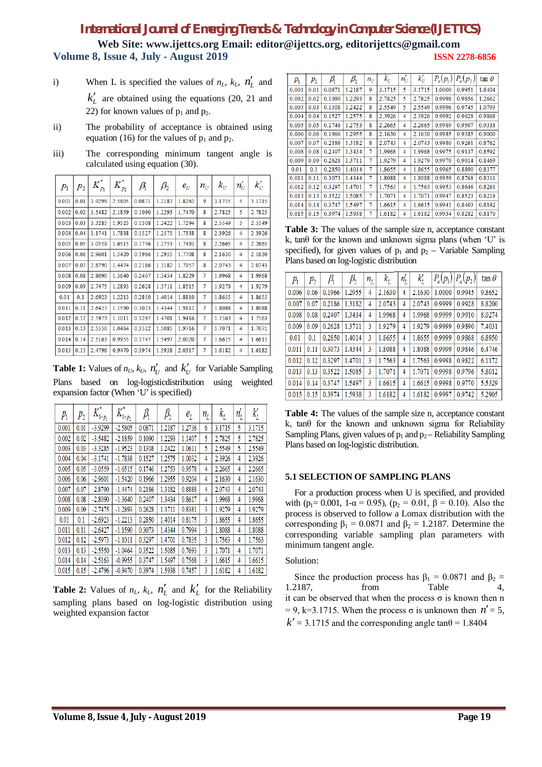**Web Site: www.ijettcs.org Email: editor@ijettcs.org, [editorijettcs@gmail.com](mailto:editorijettcs@gmail.com)  Volume 8, Issue 4, July - August 2019 ISSN 2278-6856**

- i) When L is specified the values of  $n_L$ ,  $k_L$ ,  $n'_L$  and  $k'_L$  are obtained using the equations (20, 21 and 22) for known values of  $p_1$  and  $p_2$ .
- ii) The probability of acceptance is obtained using equation (16) for the values of  $p_1$  and  $p_2$ .
- iii) The corresponding minimum tangent angle is calculated using equation (30).

| $p_{1}$ | $p_{2}$ | $K_{p_1}^*$ | $K_{p_2}^*$ | $\beta$ | $\beta_2$ | $e_U$  | $n_{\scriptscriptstyle U}$ | $k_{U}$ | $n_{\scriptscriptstyle U}$ | $k_U'$    |
|---------|---------|-------------|-------------|---------|-----------|--------|----------------------------|---------|----------------------------|-----------|
| 0.001   | 0.01    | 3.9299      | 2.5805      | 0.0871  | 1.2187    | 1.8262 | 9                          | 3.1715  | 5                          | 3.1715    |
| 0.002   | 0.02    | 3.5482      | 2.1859      | 0.1090  | 1.2293    | 1.7470 | 8                          | 2.7825  | 5                          | 2.7825    |
| 0.003   | 0.03    | 3.3285      | 1.9523      | 0.1308  | 1.2422    | 1.7294 | 8                          | 2.5549  | 5                          | 2.5549    |
| 0.004   | 0.04    | 3.1741      | 1.7838      | 0.1527  | 1.2575    | 1.7338 | 8                          | 2.3926  | $\overline{4}$             | 2 3 9 2 6 |
| 0.005   | 0.05    | 3.0559      | 1.6515      | 0.1746  | 1.2753    | 1.7493 | 8                          | 2.2665  | $\overline{4}$             | 2.2665    |
| 0.006   | 0.06    | 2.9601      | 1.5420      | 0.1966  | 1.2955    | 1.7708 | 8                          | 2.1630  | $\overline{4}$             | 2.1630    |
| 0.007   | 0.07    | 2.8790      | 1.4474      | 0.2186  | 1.3182    | 1.7957 | 8                          | 2.0743  | 4                          | 2.0743    |
| 0.008   | 0.08    | 2.8090      | 1.3640      | 0.2407  | 1.3434    | 1.8229 | 7                          | 1.9968  | 4                          | 1.9968    |
| 0.009   | 0.09    | 2.7475      | 1.2893      | 0.2628  | 1.3711    | 1.8515 | 7                          | 1.9279  | 4                          | 1.9279    |
| 0.01    | 0.1     | 2.6923      | 1.2213      | 0.2850  | 1.4014    | 1.8810 | 7                          | 1.8655  | 4                          | 1.8655    |
| 0.011   | 0.11    | 2.6427      | 1.1590      | 0.3073  | 1.4344    | 1.9112 | 7                          | 1.8088  | 4                          | 1.8088    |
| 0.012   | 0.12    | 2.5973      | 1.1011      | 0.3297  | 1.4701    | 1.9416 | 7                          | 1.7563  | $\overline{4}$             | 1.7563    |
| 0.013   | 0.13    | 2.5550      | 1.0464      | 0.3522  | 1.5085    | 1.9716 | 7                          | 1.7071  | 4                          | 1.7071    |
| 0.014   | 0.14    | 2.5163      | 0.9955      | 0.3747  | 1.5497    | 2.0020 | 7                          | 1.6615  | 4                          | 1.6615    |
| 0.015   | 0.15    | 2.4796      | 0.9470      | 0.3974  | 1.5938    | 2.0317 | 7                          | 1.6182  | 4                          | 1.6182    |

**Table 1:** Values of  $n_U$ ,  $k_U$ ,  $n'_U$  and  $k'_U$  for Variable Sampling Plans based on log-logisticdistribution using weighted expansion factor (When 'U' is specified)

| $p_{1}$ | $p_{2}$ | $K_{1-p_1}^*$ | $K_{1-p_2}^*$ | $\beta_{\rm i}$ | $\beta_{\scriptscriptstyle 2}$ | $e_{\scriptscriptstyle L}$ | $n_L$ | $k_{L}$ | $n_{\overline{L}}$ | $k_{\scriptscriptstyle L}^{\prime}$ |
|---------|---------|---------------|---------------|-----------------|--------------------------------|----------------------------|-------|---------|--------------------|-------------------------------------|
| 0.001   | 0.01    | $-3.9299$     | $-2.5805$     | 0.0871          | 1.2187                         | 1.2736                     | 6     | 3.1715  | 5                  | 3.1715                              |
| 0.002   | 0.02    | $-3.5482$     | $-2.1859$     | 0.1090          | 1.2293                         | 1.1407                     | 5     | 2.7825  | 5                  | 2.7825                              |
| 0.003   | 0.03    | $-3.3285$     | $-1.9523$     | 0.1308          | 1.2422                         | 1.0611                     | 5     | 2.5549  | 5                  | 2.5549                              |
| 0.004   | 0.04    | $-3.1741$     | $-1.7838$     | 0.1527          | 1.2575                         | 1.0032                     | 4     | 2.3926  | 4                  | 2.3926                              |
| 0.005   | 0.05    | $-3.0559$     | $-1.6515$     | 0.1746          | 1.2753                         | 0.9578                     | 4     | 2.2665  | 4                  | 2.2665                              |
| 0.006   | 0.06    | $-2.9601$     | $-1.5420$     | 0.1966          | 1.2955                         | 0.9204                     | 4     | 2.1630  | 4                  | 2.1630                              |
| 0.007   | 0.07    | -2.8790       | $-1.4474$     | 0.2186          | 1.3182                         | 0.8888                     | 4     | 2.0743  | 4                  | 2.0743                              |
| 0.008   | 0.08    | $-2.8090$     | $-1.3640$     | 0.2407          | 1.3434                         | 0.8617                     | 4     | 1.9968  | 4                  | 1.9968                              |
| 0.009   | 0.09    | $-2.7475$     | $-1.2893$     | 0.2628          | 1.3711                         | 0.8381                     | 3     | 1.9279  | 4                  | 1.9279                              |
| 0.01    | 0.1     | $-2.6923$     | $-1.2213$     | 0.2850          | 1.4014                         | 0.8175                     | 3     | 1.8655  | 4                  | 1.8655                              |
| 0.011   | 0.11    | $-2.6427$     | $-1.1590$     | 0.3073          | 1.4344                         | 0.7994                     | 3     | 1.8088  | 4                  | 1.8088                              |
| 0.012   | 0.12    | $-2.5973$     | $-1.1011$     | 0.3297          | 1.4701                         | 0.7835                     | 3     | 1.7563  | 4                  | 1.7563                              |
| 0.013   | 0.13    | $-2.5550$     | $-1.0464$     | 0.3522          | 1.5085                         | 0.7693                     | 3     | 1.7071  | 4                  | 1.7071                              |
| 0.014   | 0.14    | $-2.5163$     | $-0.9955$     | 0.3747          | 1.5497                         | 0.7568                     | 3     | 1.6615  | 4                  | 1.6615                              |
| 0.015   | 0.15    | $-2.4796$     | $-0.9470$     | 0.3974          | 1.5938                         | 0.7457                     | 3     | 1.6182  | 4                  | 1.6182                              |

**Table 2:** Values of  $n_L$ ,  $k_L$ ,  $n'_L$  and  $k'_L$  for the Reliability sampling plans based on log-logistic distribution using weighted expansion factor

| $p_{1}$ | $p_{2}$ | Ą      | $\beta_{2}$ | $n_{\scriptscriptstyle II}$ | $k_{\scriptscriptstyle II}$ | $n_{\rm H}$ | $k_U'$ | $P_a(p_1)$ | $P_a(p_2)$ | $\tan \theta$ |
|---------|---------|--------|-------------|-----------------------------|-----------------------------|-------------|--------|------------|------------|---------------|
| 0.001   | 0.01    | 0.0871 | 1.2187      | 9                           | 3.1715                      | 5           | 3.1715 | 1.0000     | 0.9951     | 1.8404        |
| 0.002   | 0.02    | 0.1090 | 1.2293      | 8                           | 2.7825                      | 5           | 2.7825 | 0.9998     | 0.9856     | 1.2662        |
| 0.003   | 0.03    | 0.1308 | 1.2422      | 8                           | 2.5549                      | 5           | 2.5549 | 0.9996     | 0.9745     | 1.0793        |
| 0.004   | 0.04    | 0.1527 | 1.2575      | 8                           | 2.3926                      | 4           | 2.3926 | 0.9992     | 0.9628     | 0.9868        |
| 0.005   | 0.05    | 0.1746 | 1.2753      | 8                           | 2.2665                      | 4           | 2.2665 | 0.9989     | 0.9507     | 0.9338        |
| 0.006   | 0.06    | 0.1966 | 1.2955      | 8                           | 2.1630                      | 4           | 2.1630 | 0.9985     | 0.9385     | 0.9000        |
| 0.007   | 0.07    | 0.2186 | 1.3182      | 8                           | 2.0743                      | 4           | 2.0743 | 0.9980     | 0.9261     | 0.8762        |
| 0.008   | 0.08    | 0.2407 | 1.3434      | 7                           | 1.9968                      | 4           | 1.9968 | 0.9975     | 0.9137     | 0.8592        |
| 0.009   | 0.09    | 0.2628 | 1.3711      | 7                           | 1.9279                      | 4           | 1.9279 | 0.9970     | 0.9014     | 0.8469        |
| 0.01    | 0.1     | 0.2850 | 1.4014      | 7                           | 1.8655                      | 4           | 1.8655 | 0.9965     | 0.8890     | 0.8377        |
| 0.011   | 0.11    | 0.3073 | 1.4344      | 7                           | 1.8088                      | 4           | 1.8088 | 0.9959     | 0.8768     | 0.8311        |
| 0.012   | 0.12    | 0.3297 | 1.4701      | 7                           | 1.7563                      | 4           | 1.7563 | 0.9953     | 0.8646     | 0.8261        |
| 0.013   | 0.13    | 0.3522 | 1.5085      | 7                           | 1.7071                      | 4           | 1.7071 | 0.9947     | 0.8523     | 0.8218        |
| 0.014   | 0.14    | 0.3747 | 1.5497      | 7                           | 1.6615                      | 4           | 1.6615 | 0.9941     | 0.8403     | 0.8192        |
| 0.015   | 0.15    | 0.3974 | 1.5938      | 7                           | 1.6182                      | 4           | 1.6182 | 0.9934     | 0.8282     | 0.8170        |

**Table 3:** The values of the sample size n, acceptance constant k, tan $\theta$  for the known and unknown sigma plans (when 'U' is specified), for given values of  $p_1$  and  $p_2$  – Variable Sampling Plans based on log-logistic distribution

| $p_{1}$ | $p_{2}$ | $\beta_{\rm i}$ | $\beta_{_2}$ | $n_{L}$ | $k_{\rm\scriptscriptstyle L}$ | $n_{L}^{\prime}$ | $k_L^\prime$ |        | $P_a(p_1) P_a(p_2)$ | $\tan \theta$ |
|---------|---------|-----------------|--------------|---------|-------------------------------|------------------|--------------|--------|---------------------|---------------|
| 0.006   | 0.06    | 0.1966          | 1.2955       | 4       | 2.1630                        | 4                | 2.1630       | 1.0000 | 0.9945              | 9.8652        |
| 0.007   | 0.07    | 0.2186          | 1.3182       | 4       | 2.0743                        | 4                | 2.0743       | 0.9999 | 0.9928              | 8.8200        |
| 0.008   | 0.08    | 0.2407          | 1.3434       | 4       | 1.9968                        | 4                | 1.9968       | 0.9999 | 0.9910              | 8.0274        |
| 0.009   | 0.09    | 0.2628          | 1.3711       | 3       | 1.9279                        | 4                | 1.9279       | 0.9999 | 0.9890              | 7.4031        |
| 0.01    | 0.1     | 0.2850          | 1.4014       | 3       | 1.8655                        | 4                | 1.8655       | 0.9999 | 0.9868              | 6.8950        |
| 0.011   | 0.11    | 0.3073          | 1.4344       | 3       | 1.8088                        | 4                | 1.8088       | 0.9999 | 0.9846              | 6.4746        |
| 0.012   | 0.12    | 0.3297          | 1.4701       | 3       | 1.7563                        | 4                | 1.7563       | 0.9998 | 0.9822              | 6.1172        |
| 0.013   | 0.13    | 0.3522          | 1.5085       | 3       | 1.7071                        | 4                | 1.7071       | 0.9998 | 0.9796              | 5.8012        |
| 0.014   | 0.14    | 0.3747          | 1.5497       | 3       | 1.6615                        | 4                | 1.6615       | 0.9998 | 0.9770              | 5.5329        |
| 0.015   | 0.15    | 0.3974          | 1.5938       | 3       | 1.6182                        | 4                | 1.6182       | 0.9997 | 0.9742              | 5.2905        |

**Table 4:** The values of the sample size n, acceptance constant k, tanθ for the known and unknown sigma for Reliability Sampling Plans, given values of  $p_1$  and  $p_2$  – Reliability Sampling Plans based on log-logistic distribution.

#### **5.1 SELECTION OF SAMPLING PLANS**

For a production process when U is specified, and provided with (p<sub>1</sub>= 0.001, 1- $\alpha$  = 0.95), (p<sub>2</sub> = 0.01,  $\beta$  = 0.10). Also the process is observed to follow a Lomax distribution with the corresponding  $\beta_1 = 0.0871$  and  $\beta_2 = 1.2187$ . Determine the corresponding variable sampling plan parameters with minimum tangent angle.

#### Solution:

Since the production process has  $\beta_1 = 0.0871$  and  $\beta_2 =$ 1.2187, from Table 4, it can be observed that when the process σ is known then n  $= 9$ , k=3.1715. When the process  $\sigma$  is unknown then  $n' = 5$ ,  $k' = 3.1715$  and the corresponding angle tan $\theta = 1.8404$